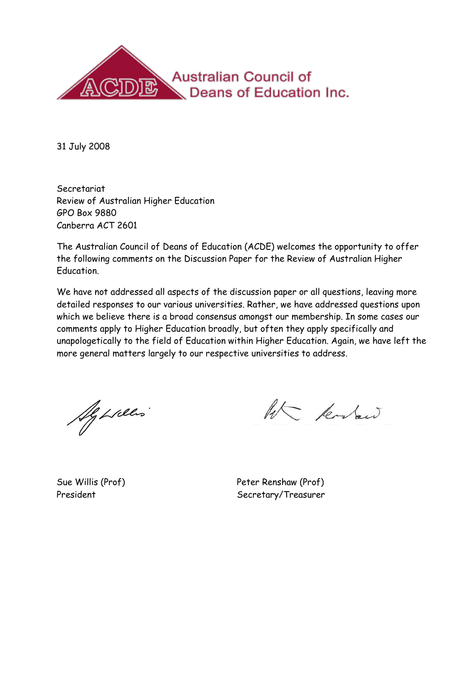

31 July 2008

Secretariat Review of Australian Higher Education GPO Box 9880 Canberra ACT 2601

The Australian Council of Deans of Education (ACDE) welcomes the opportunity to offer the following comments on the Discussion Paper for the Review of Australian Higher Education.

We have not addressed all aspects of the discussion paper or all questions, leaving more detailed responses to our various universities. Rather, we have addressed questions upon which we believe there is a broad consensus amongst our membership. In some cases our comments apply to Higher Education broadly, but often they apply specifically and unapologetically to the field of Education within Higher Education. Again, we have left the more general matters largely to our respective universities to address.

Ag Lilles

ht kodew

Sue Willis (Prof) Peter Renshaw (Prof) President Secretary/Treasurer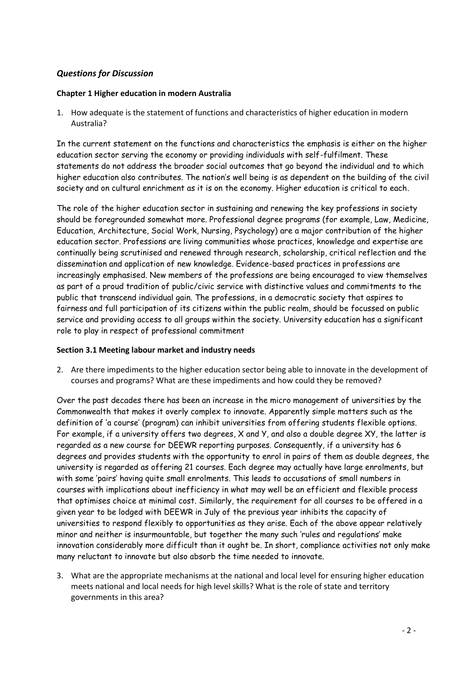# *Questions for Discussion*

## **Chapter 1 Higher education in modern Australia**

1. How adequate is the statement of functions and characteristics of higher education in modern Australia?

In the current statement on the functions and characteristics the emphasis is either on the higher education sector serving the economy or providing individuals with self-fulfilment. These statements do not address the broader social outcomes that go beyond the individual and to which higher education also contributes. The nation"s well being is as dependent on the building of the civil society and on cultural enrichment as it is on the economy. Higher education is critical to each.

The role of the higher education sector in sustaining and renewing the key professions in society should be foregrounded somewhat more. Professional degree programs (for example, Law, Medicine, Education, Architecture, Social Work, Nursing, Psychology) are a major contribution of the higher education sector. Professions are living communities whose practices, knowledge and expertise are continually being scrutinised and renewed through research, scholarship, critical reflection and the dissemination and application of new knowledge. Evidence-based practices in professions are increasingly emphasised. New members of the professions are being encouraged to view themselves as part of a proud tradition of public/civic service with distinctive values and commitments to the public that transcend individual gain. The professions, in a democratic society that aspires to fairness and full participation of its citizens within the public realm, should be focussed on public service and providing access to all groups within the society. University education has a significant role to play in respect of professional commitment

#### **Section 3.1 Meeting labour market and industry needs**

2. Are there impediments to the higher education sector being able to innovate in the development of courses and programs? What are these impediments and how could they be removed?

Over the past decades there has been an increase in the micro management of universities by the Commonwealth that makes it overly complex to innovate. Apparently simple matters such as the definition of 'a course' (program) can inhibit universities from offering students flexible options. For example, if a university offers two degrees, X and Y, and also a double degree XY, the latter is regarded as a new course for DEEWR reporting purposes. Consequently, if a university has 6 degrees and provides students with the opportunity to enrol in pairs of them as double degrees, the university is regarded as offering 21 courses. Each degree may actually have large enrolments, but with some "pairs" having quite small enrolments. This leads to accusations of small numbers in courses with implications about inefficiency in what may well be an efficient and flexible process that optimises choice at minimal cost. Similarly, the requirement for all courses to be offered in a given year to be lodged with DEEWR in July of the previous year inhibits the capacity of universities to respond flexibly to opportunities as they arise. Each of the above appear relatively minor and neither is insurmountable, but together the many such "rules and regulations" make innovation considerably more difficult than it ought be. In short, compliance activities not only make many reluctant to innovate but also absorb the time needed to innovate.

3. What are the appropriate mechanisms at the national and local level for ensuring higher education meets national and local needs for high level skills? What is the role of state and territory governments in this area?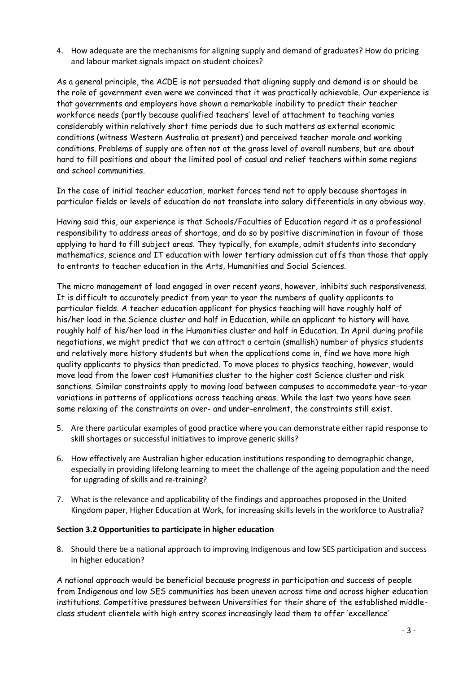4. How adequate are the mechanisms for aligning supply and demand of graduates? How do pricing and labour market signals impact on student choices?

As a general principle, the ACDE is not persuaded that aligning supply and demand is or should be the role of government even were we convinced that it was practically achievable. Our experience is that governments and employers have shown a remarkable inability to predict their teacher workforce needs (partly because qualified teachers" level of attachment to teaching varies considerably within relatively short time periods due to such matters as external economic conditions (witness Western Australia at present) and perceived teacher morale and working conditions. Problems of supply are often not at the gross level of overall numbers, but are about hard to fill positions and about the limited pool of casual and relief teachers within some regions and school communities.

In the case of initial teacher education, market forces tend not to apply because shortages in particular fields or levels of education do not translate into salary differentials in any obvious way.

Having said this, our experience is that Schools/Faculties of Education regard it as a professional responsibility to address areas of shortage, and do so by positive discrimination in favour of those applying to hard to fill subject areas. They typically, for example, admit students into secondary mathematics, science and IT education with lower tertiary admission cut offs than those that apply to entrants to teacher education in the Arts, Humanities and Social Sciences.

The micro management of load engaged in over recent years, however, inhibits such responsiveness. It is difficult to accurately predict from year to year the numbers of quality applicants to particular fields. A teacher education applicant for physics teaching will have roughly half of his/her load in the Science cluster and half in Education, while an applicant to history will have roughly half of his/her load in the Humanities cluster and half in Education. In April during profile negotiations, we might predict that we can attract a certain (smallish) number of physics students and relatively more history students but when the applications come in, find we have more high quality applicants to physics than predicted. To move places to physics teaching, however, would move load from the lower cost Humanities cluster to the higher cost Science cluster and risk sanctions. Similar constraints apply to moving load between campuses to accommodate year-to-year variations in patterns of applications across teaching areas. While the last two years have seen some relaxing of the constraints on over- and under-enrolment, the constraints still exist.

- 5. Are there particular examples of good practice where you can demonstrate either rapid response to skill shortages or successful initiatives to improve generic skills?
- 6. How effectively are Australian higher education institutions responding to demographic change, especially in providing lifelong learning to meet the challenge of the ageing population and the need for upgrading of skills and re-training?
- 7. What is the relevance and applicability of the findings and approaches proposed in the United Kingdom paper, Higher Education at Work, for increasing skills levels in the workforce to Australia?

#### **Section 3.2 Opportunities to participate in higher education**

8. Should there be a national approach to improving Indigenous and low SES participation and success in higher education?

A national approach would be beneficial because progress in participation and success of people from Indigenous and low SES communities has been uneven across time and across higher education institutions. Competitive pressures between Universities for their share of the established middleclass student clientele with high entry scores increasingly lead them to offer "excellence"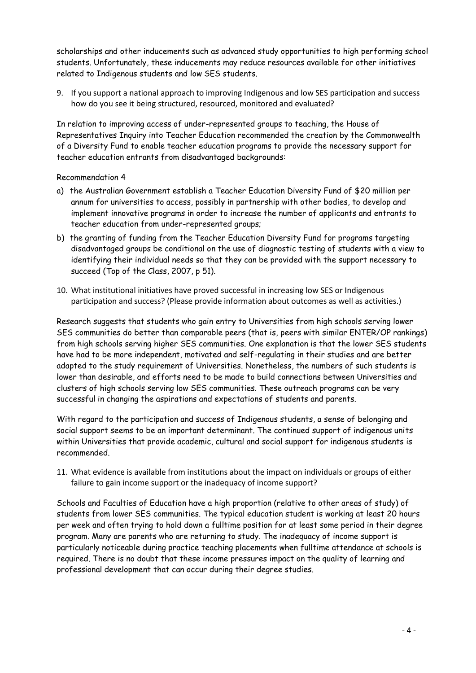scholarships and other inducements such as advanced study opportunities to high performing school students. Unfortunately, these inducements may reduce resources available for other initiatives related to Indigenous students and low SES students.

9. If you support a national approach to improving Indigenous and low SES participation and success how do you see it being structured, resourced, monitored and evaluated?

In relation to improving access of under-represented groups to teaching, the House of Representatives Inquiry into Teacher Education recommended the creation by the Commonwealth of a Diversity Fund to enable teacher education programs to provide the necessary support for teacher education entrants from disadvantaged backgrounds:

Recommendation 4

- a) the Australian Government establish a Teacher Education Diversity Fund of \$20 million per annum for universities to access, possibly in partnership with other bodies, to develop and implement innovative programs in order to increase the number of applicants and entrants to teacher education from under-represented groups;
- b) the granting of funding from the Teacher Education Diversity Fund for programs targeting disadvantaged groups be conditional on the use of diagnostic testing of students with a view to identifying their individual needs so that they can be provided with the support necessary to succeed (Top of the Class, 2007, p 51).
- 10. What institutional initiatives have proved successful in increasing low SES or Indigenous participation and success? (Please provide information about outcomes as well as activities.)

Research suggests that students who gain entry to Universities from high schools serving lower SES communities do better than comparable peers (that is, peers with similar ENTER/OP rankings) from high schools serving higher SES communities. One explanation is that the lower SES students have had to be more independent, motivated and self-regulating in their studies and are better adapted to the study requirement of Universities. Nonetheless, the numbers of such students is lower than desirable, and efforts need to be made to build connections between Universities and clusters of high schools serving low SES communities. These outreach programs can be very successful in changing the aspirations and expectations of students and parents.

With regard to the participation and success of Indigenous students, a sense of belonging and social support seems to be an important determinant. The continued support of indigenous units within Universities that provide academic, cultural and social support for indigenous students is recommended.

11. What evidence is available from institutions about the impact on individuals or groups of either failure to gain income support or the inadequacy of income support?

Schools and Faculties of Education have a high proportion (relative to other areas of study) of students from lower SES communities. The typical education student is working at least 20 hours per week and often trying to hold down a fulltime position for at least some period in their degree program. Many are parents who are returning to study. The inadequacy of income support is particularly noticeable during practice teaching placements when fulltime attendance at schools is required. There is no doubt that these income pressures impact on the quality of learning and professional development that can occur during their degree studies.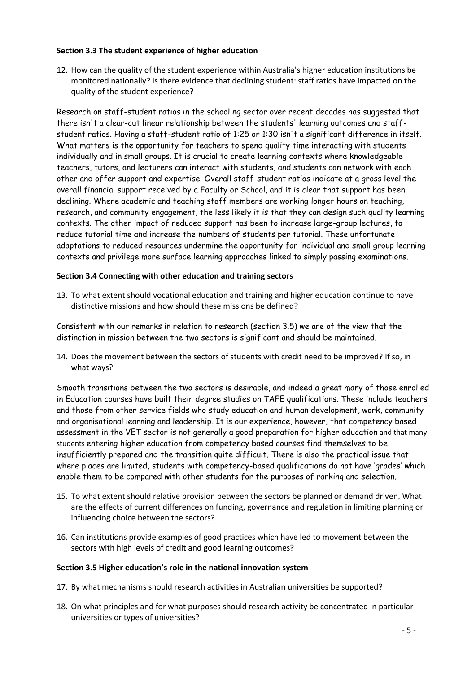## **Section 3.3 The student experience of higher education**

12. How can the quality of the student experience within Australia's higher education institutions be monitored nationally? Is there evidence that declining student: staff ratios have impacted on the quality of the student experience?

Research on staff-student ratios in the schooling sector over recent decades has suggested that there isn't a clear-cut linear relationship between the students' learning outcomes and staffstudent ratios. Having a staff-student ratio of 1:25 or 1:30 isn't a significant difference in itself. What matters is the opportunity for teachers to spend quality time interacting with students individually and in small groups. It is crucial to create learning contexts where knowledgeable teachers, tutors, and lecturers can interact with students, and students can network with each other and offer support and expertise. Overall staff-student ratios indicate at a gross level the overall financial support received by a Faculty or School, and it is clear that support has been declining. Where academic and teaching staff members are working longer hours on teaching, research, and community engagement, the less likely it is that they can design such quality learning contexts. The other impact of reduced support has been to increase large-group lectures, to reduce tutorial time and increase the numbers of students per tutorial. These unfortunate adaptations to reduced resources undermine the opportunity for individual and small group learning contexts and privilege more surface learning approaches linked to simply passing examinations.

# **Section 3.4 Connecting with other education and training sectors**

13. To what extent should vocational education and training and higher education continue to have distinctive missions and how should these missions be defined?

Consistent with our remarks in relation to research (section 3.5) we are of the view that the distinction in mission between the two sectors is significant and should be maintained.

14. Does the movement between the sectors of students with credit need to be improved? If so, in what ways?

Smooth transitions between the two sectors is desirable, and indeed a great many of those enrolled in Education courses have built their degree studies on TAFE qualifications. These include teachers and those from other service fields who study education and human development, work, community and organisational learning and leadership. It is our experience, however, that competency based assessment in the VET sector is not generally a good preparation for higher education and that many students entering higher education from competency based courses find themselves to be insufficiently prepared and the transition quite difficult. There is also the practical issue that where places are limited, students with competency-based qualifications do not have "grades" which enable them to be compared with other students for the purposes of ranking and selection.

- 15. To what extent should relative provision between the sectors be planned or demand driven. What are the effects of current differences on funding, governance and regulation in limiting planning or influencing choice between the sectors?
- 16. Can institutions provide examples of good practices which have led to movement between the sectors with high levels of credit and good learning outcomes?

#### **Section 3.5 Higher education's role in the national innovation system**

- 17. By what mechanisms should research activities in Australian universities be supported?
- 18. On what principles and for what purposes should research activity be concentrated in particular universities or types of universities?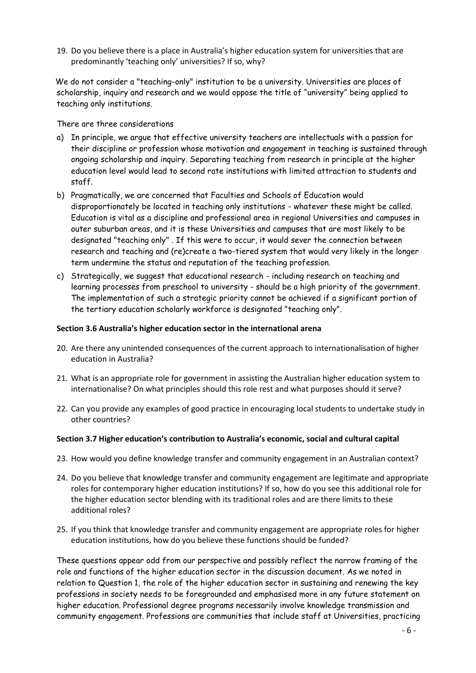19. Do you believe there is a place in Australia's higher education system for universities that are predominantly 'teaching only' universities? If so, why?

We do not consider a "teaching-only" institution to be a university. Universities are places of scholarship, inquiry and research and we would oppose the title of "university" being applied to teaching only institutions.

There are three considerations

- a) In principle, we argue that effective university teachers are intellectuals with a passion for their discipline or profession whose motivation and engagement in teaching is sustained through ongoing scholarship and inquiry. Separating teaching from research in principle at the higher education level would lead to second rate institutions with limited attraction to students and staff.
- b) Pragmatically, we are concerned that Faculties and Schools of Education would disproportionately be located in teaching only institutions - whatever these might be called. Education is vital as a discipline and professional area in regional Universities and campuses in outer suburban areas, and it is these Universities and campuses that are most likely to be designated "teaching only" . If this were to occur, it would sever the connection between research and teaching and (re)create a two-tiered system that would very likely in the longer term undermine the status and reputation of the teaching profession.
- c) Strategically, we suggest that educational research including research on teaching and learning processes from preschool to university - should be a high priority of the government. The implementation of such a strategic priority cannot be achieved if a significant portion of the tertiary education scholarly workforce is designated "teaching only".

## **Section 3.6 Australia's higher education sector in the international arena**

- 20. Are there any unintended consequences of the current approach to internationalisation of higher education in Australia?
- 21. What is an appropriate role for government in assisting the Australian higher education system to internationalise? On what principles should this role rest and what purposes should it serve?
- 22. Can you provide any examples of good practice in encouraging local students to undertake study in other countries?

#### **Section 3.7 Higher education's contribution to Australia's economic, social and cultural capital**

- 23. How would you define knowledge transfer and community engagement in an Australian context?
- 24. Do you believe that knowledge transfer and community engagement are legitimate and appropriate roles for contemporary higher education institutions? If so, how do you see this additional role for the higher education sector blending with its traditional roles and are there limits to these additional roles?
- 25. If you think that knowledge transfer and community engagement are appropriate roles for higher education institutions, how do you believe these functions should be funded?

These questions appear odd from our perspective and possibly reflect the narrow framing of the role and functions of the higher education sector in the discussion document. As we noted in relation to Question 1, the role of the higher education sector in sustaining and renewing the key professions in society needs to be foregrounded and emphasised more in any future statement on higher education. Professional degree programs necessarily involve knowledge transmission and community engagement. Professions are communities that include staff at Universities, practicing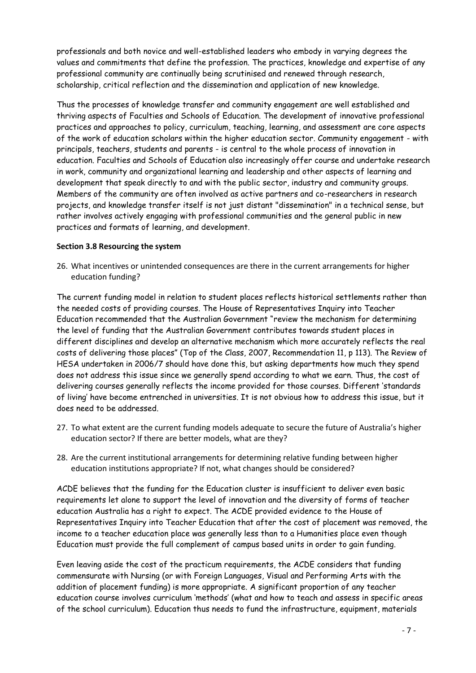professionals and both novice and well-established leaders who embody in varying degrees the values and commitments that define the profession. The practices, knowledge and expertise of any professional community are continually being scrutinised and renewed through research, scholarship, critical reflection and the dissemination and application of new knowledge.

Thus the processes of knowledge transfer and community engagement are well established and thriving aspects of Faculties and Schools of Education. The development of innovative professional practices and approaches to policy, curriculum, teaching, learning, and assessment are core aspects of the work of education scholars within the higher education sector. Community engagement - with principals, teachers, students and parents - is central to the whole process of innovation in education. Faculties and Schools of Education also increasingly offer course and undertake research in work, community and organizational learning and leadership and other aspects of learning and development that speak directly to and with the public sector, industry and community groups. Members of the community are often involved as active partners and co-researchers in research projects, and knowledge transfer itself is not just distant "dissemination" in a technical sense, but rather involves actively engaging with professional communities and the general public in new practices and formats of learning, and development.

# **Section 3.8 Resourcing the system**

26. What incentives or unintended consequences are there in the current arrangements for higher education funding?

The current funding model in relation to student places reflects historical settlements rather than the needed costs of providing courses. The House of Representatives Inquiry into Teacher Education recommended that the Australian Government "review the mechanism for determining the level of funding that the Australian Government contributes towards student places in different disciplines and develop an alternative mechanism which more accurately reflects the real costs of delivering those places" (Top of the Class, 2007, Recommendation 11, p 113). The Review of HESA undertaken in 2006/7 should have done this, but asking departments how much they spend does not address this issue since we generally spend according to what we earn. Thus, the cost of delivering courses generally reflects the income provided for those courses. Different "standards of living" have become entrenched in universities. It is not obvious how to address this issue, but it does need to be addressed.

- 27. To what extent are the current funding models adequate to secure the future of Australia's higher education sector? If there are better models, what are they?
- 28. Are the current institutional arrangements for determining relative funding between higher education institutions appropriate? If not, what changes should be considered?

ACDE believes that the funding for the Education cluster is insufficient to deliver even basic requirements let alone to support the level of innovation and the diversity of forms of teacher education Australia has a right to expect. The ACDE provided evidence to the House of Representatives Inquiry into Teacher Education that after the cost of placement was removed, the income to a teacher education place was generally less than to a Humanities place even though Education must provide the full complement of campus based units in order to gain funding.

Even leaving aside the cost of the practicum requirements, the ACDE considers that funding commensurate with Nursing (or with Foreign Languages, Visual and Performing Arts with the addition of placement funding) is more appropriate. A significant proportion of any teacher education course involves curriculum "methods" (what and how to teach and assess in specific areas of the school curriculum). Education thus needs to fund the infrastructure, equipment, materials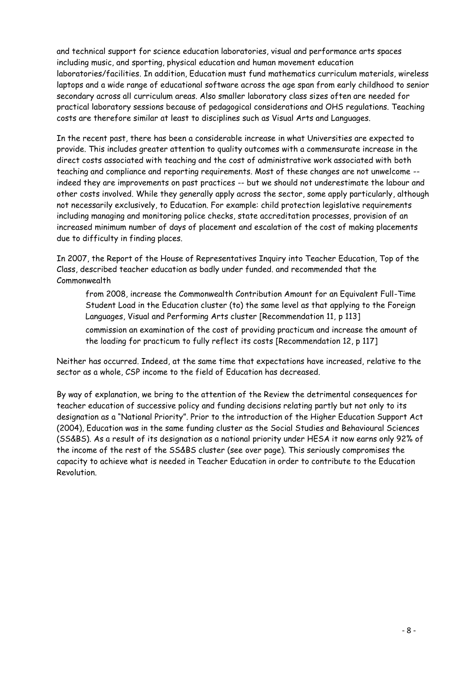and technical support for science education laboratories, visual and performance arts spaces including music, and sporting, physical education and human movement education laboratories/facilities. In addition, Education must fund mathematics curriculum materials, wireless laptops and a wide range of educational software across the age span from early childhood to senior secondary across all curriculum areas. Also smaller laboratory class sizes often are needed for practical laboratory sessions because of pedagogical considerations and OHS regulations. Teaching costs are therefore similar at least to disciplines such as Visual Arts and Languages.

In the recent past, there has been a considerable increase in what Universities are expected to provide. This includes greater attention to quality outcomes with a commensurate increase in the direct costs associated with teaching and the cost of administrative work associated with both teaching and compliance and reporting requirements. Most of these changes are not unwelcome - indeed they are improvements on past practices -- but we should not underestimate the labour and other costs involved. While they generally apply across the sector, some apply particularly, although not necessarily exclusively, to Education. For example: child protection legislative requirements including managing and monitoring police checks, state accreditation processes, provision of an increased minimum number of days of placement and escalation of the cost of making placements due to difficulty in finding places.

In 2007, the Report of the House of Representatives Inquiry into Teacher Education, Top of the Class, described teacher education as badly under funded. and recommended that the Commonwealth

from 2008, increase the Commonwealth Contribution Amount for an Equivalent Full-Time Student Load in the Education cluster (to) the same level as that applying to the Foreign Languages, Visual and Performing Arts cluster [Recommendation 11, p 113] commission an examination of the cost of providing practicum and increase the amount of the loading for practicum to fully reflect its costs [Recommendation 12, p 117]

Neither has occurred. Indeed, at the same time that expectations have increased, relative to the sector as a whole, CSP income to the field of Education has decreased.

By way of explanation, we bring to the attention of the Review the detrimental consequences for teacher education of successive policy and funding decisions relating partly but not only to its designation as a "National Priority". Prior to the introduction of the Higher Education Support Act (2004), Education was in the same funding cluster as the Social Studies and Behavioural Sciences (SS&BS). As a result of its designation as a national priority under HESA it now earns only 92% of the income of the rest of the SS&BS cluster (see over page). This seriously compromises the capacity to achieve what is needed in Teacher Education in order to contribute to the Education Revolution.